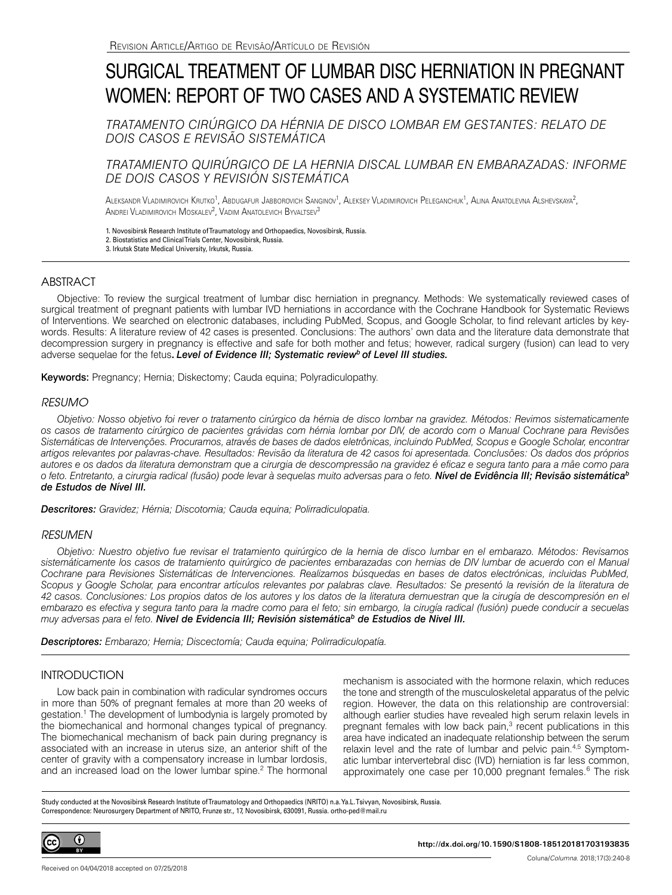# SURGICAL TREATMENT OF LUMBAR DISC HERNIATION IN PREGNANT WOMEN: REPORT OF TWO CASES AND A SYSTEMATIC REVIEW

*TRATAMENTO CIRÚRGICO DA HÉRNIA DE DISCO LOMBAR EM GESTANTES: RELATO DE DOIS CASOS E REVISÃO SISTEMÁTICA*

# *TRATAMIENTO QUIRÚRGICO DE LA HERNIA DISCAL LUMBAR EN EMBARAZADAS: INFORME DE DOIS CASOS Y REVISIÓN SISTEMÁTICA*

Aleksandr Vladimirovich Krutko<sup>1</sup>, Abdugafur Jabborovich Sanginov<sup>1</sup>, Aleksey Vladimirovich Peleganchuk<sup>1</sup>, Alina Anatolevna Alshevskaya<sup>2</sup>, Andrei Vladimirovich Moskalev<sup>2</sup>, Vadim Anatolevich Byvaltsev<sup>3</sup>

1. Novosibirsk Research Institute of Traumatology and Orthopaedics, Novosibirsk, Russia.

2. Biostatistics and Clinical Trials Center, Novosibirsk, Russia.

3. Irkutsk State Medical University, Irkutsk, Russia.

## **ABSTRACT**

Objective: To review the surgical treatment of lumbar disc herniation in pregnancy. Methods: We systematically reviewed cases of surgical treatment of pregnant patients with lumbar IVD herniations in accordance with the Cochrane Handbook for Systematic Reviews of Interventions. We searched on electronic databases, including PubMed, Scopus, and Google Scholar, to find relevant articles by keywords. Results: A literature review of 42 cases is presented. Conclusions: The authors' own data and the literature data demonstrate that decompression surgery in pregnancy is effective and safe for both mother and fetus; however, radical surgery (fusion) can lead to very adverse sequelae for the fetus**.** *Level of Evidence III; Systematic reviewb of Level III studies.*

Keywords: Pregnancy; Hernia; Diskectomy; Cauda equina; Polyradiculopathy.

## *RESUMO*

*Objetivo: Nosso objetivo foi rever o tratamento cirúrgico da hérnia de disco lombar na gravidez. Métodos: Revimos sistematicamente os casos de tratamento cirúrgico de pacientes grávidas com hérnia lombar por DIV, de acordo com o Manual Cochrane para Revisões Sistemáticas de Intervenções. Procuramos, através de bases de dados eletrônicas, incluindo PubMed, Scopus e Google Scholar, encontrar artigos relevantes por palavras-chave. Resultados: Revisão da literatura de 42 casos foi apresentada. Conclusões: Os dados dos próprios autores e os dados da literatura demonstram que a cirurgia de descompressão na gravidez é eficaz e segura tanto para a mãe como para o feto. Entretanto, a cirurgia radical (fusão) pode levar à sequelas muito adversas para o feto. Nível de Evidência III; Revisão sistemáticab de Estudos de Nível III.*

*Descritores: Gravidez; Hérnia; Discotomia; Cauda equina; Polirradiculopatia.*

## *RESUMEN*

*Objetivo: Nuestro objetivo fue revisar el tratamiento quirúrgico de la hernia de disco lumbar en el embarazo. Métodos: Revisamos sistemáticamente los casos de tratamiento quirúrgico de pacientes embarazadas con hernias de DIV lumbar de acuerdo con el Manual Cochrane para Revisiones Sistemáticas de Intervenciones. Realizamos búsquedas en bases de datos electrónicas, incluidas PubMed, Scopus y Google Scholar, para encontrar artículos relevantes por palabras clave. Resultados: Se presentó la revisión de la literatura de 42 casos. Conclusiones: Los propios datos de los autores y los datos de la literatura demuestran que la cirugía de descompresión en el embarazo es efectiva y segura tanto para la madre como para el feto; sin embargo, la cirugía radical (fusión) puede conducir a secuelas muy adversas para el feto. Nivel de Evidencia III; Revisión sistemáticab de Estudios de Nivel III.*

*Descriptores: Embarazo; Hernia; Discectomía; Cauda equina; Polirradiculopatía.*

## INTRODUCTION

Low back pain in combination with radicular syndromes occurs in more than 50% of pregnant females at more than 20 weeks of gestation.<sup>1</sup> The development of lumbodynia is largely promoted by the biomechanical and hormonal changes typical of pregnancy. The biomechanical mechanism of back pain during pregnancy is associated with an increase in uterus size, an anterior shift of the center of gravity with a compensatory increase in lumbar lordosis, and an increased load on the lower lumbar spine.<sup>2</sup> The hormonal mechanism is associated with the hormone relaxin, which reduces the tone and strength of the musculoskeletal apparatus of the pelvic region. However, the data on this relationship are controversial: although earlier studies have revealed high serum relaxin levels in pregnant females with low back pain, $3$  recent publications in this area have indicated an inadequate relationship between the serum relaxin level and the rate of lumbar and pelvic pain.4,5 Symptomatic lumbar intervertebral disc (IVD) herniation is far less common, approximately one case per 10,000 pregnant females.<sup>6</sup> The risk

Study conducted at the Novosibirsk Research Institute of Traumatology and Orthopaedics (NRITO) n.a. Ya.L. Tsivyan, Novosibirsk, Russia. Correspondence: Neurosurgery Department of NRITO, Frunze str., 17, Novosibirsk, 630091, Russia. ortho-ped@mail.ru



**http://dx.doi.org/10.1590/S1808-185120181703193835**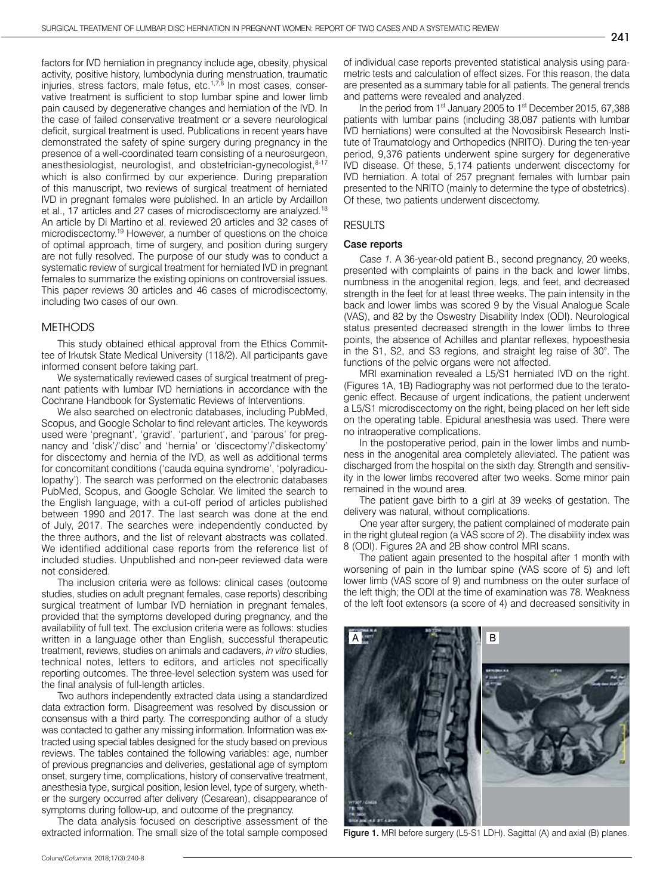factors for IVD herniation in pregnancy include age, obesity, physical activity, positive history, lumbodynia during menstruation, traumatic injuries, stress factors, male fetus, etc. $1.7$ , $8$  In most cases, conservative treatment is sufficient to stop lumbar spine and lower limb pain caused by degenerative changes and herniation of the IVD. In the case of failed conservative treatment or a severe neurological deficit, surgical treatment is used. Publications in recent years have demonstrated the safety of spine surgery during pregnancy in the presence of a well-coordinated team consisting of a neurosurgeon, anesthesiologist, neurologist, and obstetrician-gynecologist, 8-17 which is also confirmed by our experience. During preparation of this manuscript, two reviews of surgical treatment of herniated IVD in pregnant females were published. In an article by Ardaillon et al., 17 articles and 27 cases of microdiscectomy are analyzed.<sup>18</sup> An article by Di Martino et al. reviewed 20 articles and 32 cases of microdiscectomy.19 However, a number of questions on the choice of optimal approach, time of surgery, and position during surgery are not fully resolved. The purpose of our study was to conduct a systematic review of surgical treatment for herniated IVD in pregnant females to summarize the existing opinions on controversial issues. This paper reviews 30 articles and 46 cases of microdiscectomy, including two cases of our own.

## METHODS

This study obtained ethical approval from the Ethics Committee of Irkutsk State Medical University (118/2). All participants gave informed consent before taking part.

We systematically reviewed cases of surgical treatment of pregnant patients with lumbar IVD herniations in accordance with the Cochrane Handbook for Systematic Reviews of Interventions.

We also searched on electronic databases, including PubMed, Scopus, and Google Scholar to find relevant articles. The keywords used were 'pregnant', 'gravid', 'parturient', and 'parous' for pregnancy and 'disk'/'disc' and 'hernia' or 'discectomy'/'diskectomy' for discectomy and hernia of the IVD, as well as additional terms for concomitant conditions ('cauda equina syndrome', 'polyradiculopathy'). The search was performed on the electronic databases PubMed, Scopus, and Google Scholar. We limited the search to the English language, with a cut-off period of articles published between 1990 and 2017. The last search was done at the end of July, 2017. The searches were independently conducted by the three authors, and the list of relevant abstracts was collated. We identified additional case reports from the reference list of included studies. Unpublished and non-peer reviewed data were not considered.

The inclusion criteria were as follows: clinical cases (outcome studies, studies on adult pregnant females, case reports) describing surgical treatment of lumbar IVD herniation in pregnant females, provided that the symptoms developed during pregnancy, and the availability of full text. The exclusion criteria were as follows: studies written in a language other than English, successful therapeutic treatment, reviews, studies on animals and cadavers, *in vitro* studies, technical notes, letters to editors, and articles not specifically reporting outcomes. The three-level selection system was used for the final analysis of full-length articles.

Two authors independently extracted data using a standardized data extraction form. Disagreement was resolved by discussion or consensus with a third party. The corresponding author of a study was contacted to gather any missing information. Information was extracted using special tables designed for the study based on previous reviews. The tables contained the following variables: age, number of previous pregnancies and deliveries, gestational age of symptom onset, surgery time, complications, history of conservative treatment, anesthesia type, surgical position, lesion level, type of surgery, whether the surgery occurred after delivery (Cesarean), disappearance of symptoms during follow-up, and outcome of the pregnancy.

The data analysis focused on descriptive assessment of the extracted information. The small size of the total sample composed of individual case reports prevented statistical analysis using parametric tests and calculation of effect sizes. For this reason, the data are presented as a summary table for all patients. The general trends and patterns were revealed and analyzed.

In the period from 1<sup>st</sup> January 2005 to 1<sup>st</sup> December 2015, 67,388 patients with lumbar pains (including 38,087 patients with lumbar IVD herniations) were consulted at the Novosibirsk Research Institute of Traumatology and Orthopedics (NRITO). During the ten-year period, 9,376 patients underwent spine surgery for degenerative IVD disease. Of these, 5,174 patients underwent discectomy for IVD herniation. A total of 257 pregnant females with lumbar pain presented to the NRITO (mainly to determine the type of obstetrics). Of these, two patients underwent discectomy.

#### RESULTS

#### Case reports

*Case 1.* A 36-year-old patient B., second pregnancy, 20 weeks, presented with complaints of pains in the back and lower limbs, numbness in the anogenital region, legs, and feet, and decreased strength in the feet for at least three weeks. The pain intensity in the back and lower limbs was scored 9 by the Visual Analogue Scale (VAS), and 82 by the Oswestry Disability Index (ODI). Neurological status presented decreased strength in the lower limbs to three points, the absence of Achilles and plantar reflexes, hypoesthesia in the S1, S2, and S3 regions, and straight leg raise of 30°. The functions of the pelvic organs were not affected.

MRI examination revealed a L5/S1 herniated IVD on the right. (Figures 1A, 1B) Radiography was not performed due to the teratogenic effect. Because of urgent indications, the patient underwent a L5/S1 microdiscectomy on the right, being placed on her left side on the operating table. Epidural anesthesia was used. There were no intraoperative complications.

In the postoperative period, pain in the lower limbs and numbness in the anogenital area completely alleviated. The patient was discharged from the hospital on the sixth day. Strength and sensitivity in the lower limbs recovered after two weeks. Some minor pain remained in the wound area.

The patient gave birth to a girl at 39 weeks of gestation. The delivery was natural, without complications.

One year after surgery, the patient complained of moderate pain in the right gluteal region (a VAS score of 2). The disability index was 8 (ODI). Figures 2A and 2B show control MRI scans.

The patient again presented to the hospital after 1 month with worsening of pain in the lumbar spine (VAS score of 5) and left lower limb (VAS score of 9) and numbness on the outer surface of the left thigh; the ODI at the time of examination was 78. Weakness of the left foot extensors (a score of 4) and decreased sensitivity in



Figure 1. MRI before surgery (L5-S1 LDH). Sagittal (A) and axial (B) planes.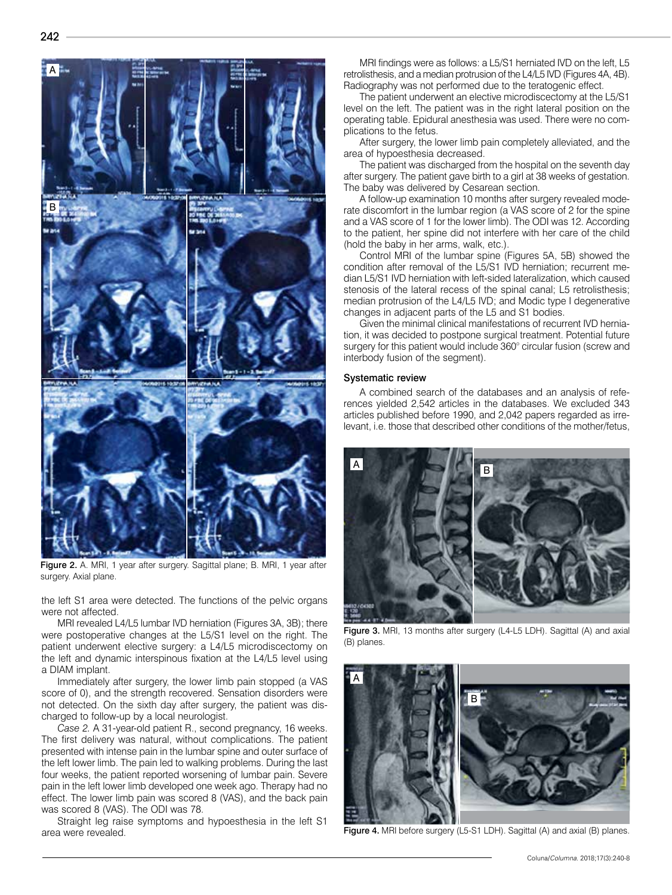

Figure 2. A. MRI, 1 year after surgery. Sagittal plane; B. MRI, 1 year after surgery. Axial plane.

the left S1 area were detected. The functions of the pelvic organs were not affected.

MRI revealed L4/L5 lumbar IVD herniation (Figures 3A, 3B); there were postoperative changes at the L5/S1 level on the right. The patient underwent elective surgery: a L4/L5 microdiscectomy on the left and dynamic interspinous fixation at the L4/L5 level using a DIAM implant.

Immediately after surgery, the lower limb pain stopped (a VAS score of 0), and the strength recovered. Sensation disorders were not detected. On the sixth day after surgery, the patient was discharged to follow-up by a local neurologist.

*Case 2.* A 31-year-old patient R., second pregnancy, 16 weeks. The first delivery was natural, without complications. The patient presented with intense pain in the lumbar spine and outer surface of the left lower limb. The pain led to walking problems. During the last four weeks, the patient reported worsening of lumbar pain. Severe pain in the left lower limb developed one week ago. Therapy had no effect. The lower limb pain was scored 8 (VAS), and the back pain was scored 8 (VAS). The ODI was 78.

Straight leg raise symptoms and hypoesthesia in the left S1 area were revealed.

MRI findings were as follows: a L5/S1 herniated IVD on the left, L5 retrolisthesis, and a median protrusion of the L4/L5 IVD (Figures 4A, 4B). Radiography was not performed due to the teratogenic effect.

The patient underwent an elective microdiscectomy at the L5/S1 level on the left. The patient was in the right lateral position on the operating table. Epidural anesthesia was used. There were no complications to the fetus.

After surgery, the lower limb pain completely alleviated, and the area of hypoesthesia decreased.

The patient was discharged from the hospital on the seventh day after surgery. The patient gave birth to a girl at 38 weeks of gestation. The baby was delivered by Cesarean section.

A follow-up examination 10 months after surgery revealed moderate discomfort in the lumbar region (a VAS score of 2 for the spine and a VAS score of 1 for the lower limb). The ODI was 12. According to the patient, her spine did not interfere with her care of the child (hold the baby in her arms, walk, etc.).

Control MRI of the lumbar spine (Figures 5A, 5B) showed the condition after removal of the L5/S1 IVD herniation; recurrent median L5/S1 IVD herniation with left-sided lateralization, which caused stenosis of the lateral recess of the spinal canal; L5 retrolisthesis; median protrusion of the L4/L5 IVD; and Modic type I degenerative changes in adjacent parts of the L5 and S1 bodies.

Given the minimal clinical manifestations of recurrent IVD herniation, it was decided to postpone surgical treatment. Potential future surgery for this patient would include 360° circular fusion (screw and interbody fusion of the segment).

#### Systematic review

A combined search of the databases and an analysis of references yielded 2,542 articles in the databases. We excluded 343 articles published before 1990, and 2,042 papers regarded as irrelevant, i.e. those that described other conditions of the mother/fetus,



Figure 3. MRI, 13 months after surgery (L4-L5 LDH). Sagittal (A) and axial (B) planes.



Figure 4. MRI before surgery (L5-S1 LDH). Sagittal (A) and axial (B) planes.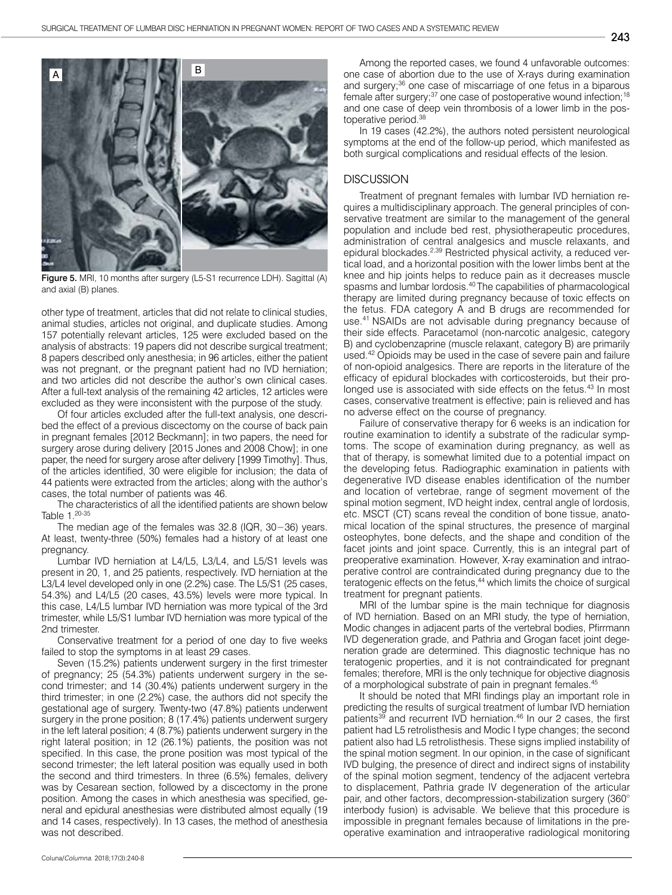

Figure 5. MRI, 10 months after surgery (L5-S1 recurrence LDH). Sagittal (A) and axial (B) planes.

other type of treatment, articles that did not relate to clinical studies, animal studies, articles not original, and duplicate studies. Among 157 potentially relevant articles, 125 were excluded based on the analysis of abstracts: 19 papers did not describe surgical treatment; 8 papers described only anesthesia; in 96 articles, either the patient was not pregnant, or the pregnant patient had no IVD herniation; and two articles did not describe the author's own clinical cases. After a full-text analysis of the remaining 42 articles, 12 articles were excluded as they were inconsistent with the purpose of the study.

Of four articles excluded after the full-text analysis, one described the effect of a previous discectomy on the course of back pain in pregnant females [2012 Beckmann]; in two papers, the need for surgery arose during delivery [2015 Jones and 2008 Chow]; in one paper, the need for surgery arose after delivery [1999 Timothy]. Thus, of the articles identified, 30 were eligible for inclusion; the data of 44 patients were extracted from the articles; along with the author's cases, the total number of patients was 46.

The characteristics of all the identified patients are shown below Table 1.20-35

The median age of the females was 32.8 (IQR, 30−36) years. At least, twenty-three (50%) females had a history of at least one pregnancy.

Lumbar IVD herniation at L4/L5, L3/L4, and L5/S1 levels was present in 20, 1, and 25 patients, respectively. IVD herniation at the L3/L4 level developed only in one (2.2%) case. The L5/S1 (25 cases, 54.3%) and L4/L5 (20 cases, 43.5%) levels were more typical. In this case, L4/L5 lumbar IVD herniation was more typical of the 3rd trimester, while L5/S1 lumbar IVD herniation was more typical of the 2nd trimester.

Conservative treatment for a period of one day to five weeks failed to stop the symptoms in at least 29 cases.

Seven (15.2%) patients underwent surgery in the first trimester of pregnancy; 25 (54.3%) patients underwent surgery in the second trimester; and 14 (30.4%) patients underwent surgery in the third trimester; in one (2.2%) case, the authors did not specify the gestational age of surgery. Twenty-two (47.8%) patients underwent surgery in the prone position; 8 (17.4%) patients underwent surgery in the left lateral position; 4 (8.7%) patients underwent surgery in the right lateral position; in 12 (26.1%) patients, the position was not specified. In this case, the prone position was most typical of the second trimester; the left lateral position was equally used in both the second and third trimesters. In three (6.5%) females, delivery was by Cesarean section, followed by a discectomy in the prone position. Among the cases in which anesthesia was specified, general and epidural anesthesias were distributed almost equally (19 and 14 cases, respectively). In 13 cases, the method of anesthesia was not described.

Among the reported cases, we found 4 unfavorable outcomes: one case of abortion due to the use of X-rays during examination and surgery;<sup>36</sup> one case of miscarriage of one fetus in a biparous female after surgery;<sup>37</sup> one case of postoperative wound infection;<sup>18</sup> and one case of deep vein thrombosis of a lower limb in the postoperative period.38

In 19 cases (42.2%), the authors noted persistent neurological symptoms at the end of the follow-up period, which manifested as both surgical complications and residual effects of the lesion.

## **DISCUSSION**

Treatment of pregnant females with lumbar IVD herniation requires a multidisciplinary approach. The general principles of conservative treatment are similar to the management of the general population and include bed rest, physiotherapeutic procedures, administration of central analgesics and muscle relaxants, and epidural blockades.<sup>2,39</sup> Restricted physical activity, a reduced vertical load, and a horizontal position with the lower limbs bent at the knee and hip joints helps to reduce pain as it decreases muscle spasms and lumbar lordosis.40 The capabilities of pharmacological therapy are limited during pregnancy because of toxic effects on the fetus. FDA category A and B drugs are recommended for use.41 NSAIDs are not advisable during pregnancy because of their side effects. Paracetamol (non-narcotic analgesic, category B) and cyclobenzaprine (muscle relaxant, category B) are primarily used.42 Opioids may be used in the case of severe pain and failure of non-opioid analgesics. There are reports in the literature of the efficacy of epidural blockades with corticosteroids, but their prolonged use is associated with side effects on the fetus.<sup>43</sup> In most cases, conservative treatment is effective; pain is relieved and has no adverse effect on the course of pregnancy.

Failure of conservative therapy for 6 weeks is an indication for routine examination to identify a substrate of the radicular symptoms. The scope of examination during pregnancy, as well as that of therapy, is somewhat limited due to a potential impact on the developing fetus. Radiographic examination in patients with degenerative IVD disease enables identification of the number and location of vertebrae, range of segment movement of the spinal motion segment, IVD height index, central angle of lordosis, etc. MSCT (CT) scans reveal the condition of bone tissue, anatomical location of the spinal structures, the presence of marginal osteophytes, bone defects, and the shape and condition of the facet joints and joint space. Currently, this is an integral part of preoperative examination. However, X-ray examination and intraoperative control are contraindicated during pregnancy due to the teratogenic effects on the fetus,<sup>44</sup> which limits the choice of surgical treatment for pregnant patients.

MRI of the lumbar spine is the main technique for diagnosis of IVD herniation. Based on an MRI study, the type of herniation, Modic changes in adjacent parts of the vertebral bodies, Pfirrmann IVD degeneration grade, and Pathria and Grogan facet joint degeneration grade are determined. This diagnostic technique has no teratogenic properties, and it is not contraindicated for pregnant females; therefore, MRI is the only technique for objective diagnosis of a morphological substrate of pain in pregnant females.45

It should be noted that MRI findings play an important role in predicting the results of surgical treatment of lumbar IVD herniation patients<sup>39</sup> and recurrent IVD herniation.<sup>46</sup> In our 2 cases, the first patient had L5 retrolisthesis and Modic I type changes; the second patient also had L5 retrolisthesis. These signs implied instability of the spinal motion segment. In our opinion, in the case of significant IVD bulging, the presence of direct and indirect signs of instability of the spinal motion segment, tendency of the adjacent vertebra to displacement, Pathria grade IV degeneration of the articular pair, and other factors, decompression-stabilization surgery (360° interbody fusion) is advisable. We believe that this procedure is impossible in pregnant females because of limitations in the preoperative examination and intraoperative radiological monitoring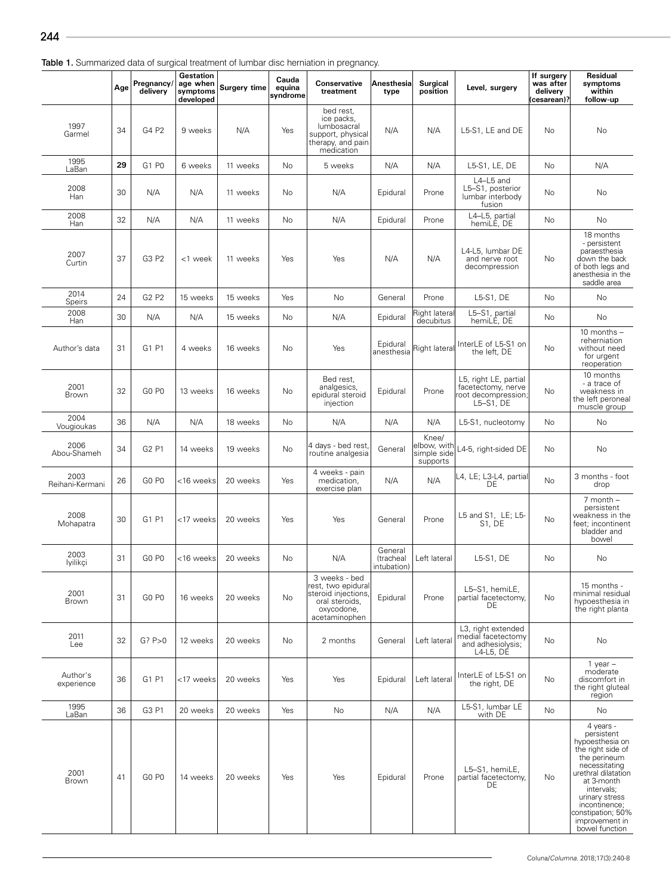|                         | Age | Pregnancy/<br>delivery        | <b>Gestation</b><br>age when<br>symptoms<br>developed | Surgery time | Cauda<br>equina<br>syndrome | Conservative<br>treatment                                                                                   | Anesthesia<br>type                  | <b>Surgical</b><br>position                     | Level, surgery                                                                    | If surgery<br>was after<br>delivery<br>(cesarean)? | Residual<br>symptoms<br>within<br>follow-up                                                                                                                                                                                                     |
|-------------------------|-----|-------------------------------|-------------------------------------------------------|--------------|-----------------------------|-------------------------------------------------------------------------------------------------------------|-------------------------------------|-------------------------------------------------|-----------------------------------------------------------------------------------|----------------------------------------------------|-------------------------------------------------------------------------------------------------------------------------------------------------------------------------------------------------------------------------------------------------|
| 1997<br>Garmel          | 34  | G4 P2                         | 9 weeks                                               | N/A          | Yes                         | bed rest,<br>ice packs,<br>lumbosacral<br>support, physical<br>therapy, and pain<br>medication              | N/A                                 | N/A                                             | L5-S1, LE and DE                                                                  | No                                                 | No                                                                                                                                                                                                                                              |
| 1995<br>LaBan           | 29  | G1 P0                         | 6 weeks                                               | 11 weeks     | <b>No</b>                   | 5 weeks                                                                                                     | N/A                                 | N/A                                             | L5-S1, LE, DE                                                                     | No                                                 | N/A                                                                                                                                                                                                                                             |
| 2008<br>Han             | 30  | N/A                           | N/A                                                   | 11 weeks     | No                          | N/A                                                                                                         | Epidural                            | Prone                                           | L4-L5 and<br>L5-S1, posterior<br>lumbar interbody<br>fusion                       | No                                                 | No                                                                                                                                                                                                                                              |
| 2008<br>Han             | 32  | N/A                           | N/A                                                   | 11 weeks     | No                          | N/A                                                                                                         | Epidural                            | Prone                                           | L4-L5, partial<br>hemiLE, DE                                                      | No                                                 | No                                                                                                                                                                                                                                              |
| 2007<br>Curtin          | 37  | G3 P2                         | <1 week                                               | 11 weeks     | Yes                         | Yes                                                                                                         | N/A                                 | N/A                                             | L4-L5, lumbar DE<br>and nerve root<br>decompression                               | No                                                 | 18 months<br>- persistent<br>paraesthesia<br>down the back<br>of both legs and<br>anesthesia in the<br>saddle area                                                                                                                              |
| 2014<br>Speirs          | 24  | G <sub>2</sub> P <sub>2</sub> | 15 weeks                                              | 15 weeks     | Yes                         | No                                                                                                          | General                             | Prone                                           | L5-S1, DE                                                                         | No                                                 | No                                                                                                                                                                                                                                              |
| 2008<br>Han             | 30  | N/A                           | N/A                                                   | 15 weeks     | <b>No</b>                   | N/A                                                                                                         | Epidural                            | Right lateral<br>decubitus                      | L5-S1, partial<br>hemiLE, DE                                                      | No                                                 | <b>No</b>                                                                                                                                                                                                                                       |
| Author's data           | 31  | G1 P1                         | 4 weeks                                               | 16 weeks     | <b>No</b>                   | Yes                                                                                                         | Epidural<br>anesthesia              | Right lateral                                   | InterLE of L5-S1 on<br>the left, DE                                               | No                                                 | 10 months $-$<br>reherniation<br>without need<br>for urgent<br>reoperation                                                                                                                                                                      |
| 2001<br>Brown           | 32  | GO <sub>PO</sub>              | 13 weeks                                              | 16 weeks     | No                          | Bed rest.<br>analgesics,<br>epidural steroid<br>injection                                                   | Epidural                            | Prone                                           | L5, right LE, partial<br>facetectomy, nerve<br>root decompression<br>$L5-S1$ , DE | No                                                 | 10 months<br>- a trace of<br>weakness in<br>the left peroneal<br>muscle group                                                                                                                                                                   |
| 2004<br>Vougioukas      | 36  | N/A                           | N/A                                                   | 18 weeks     | <b>No</b>                   | N/A                                                                                                         | N/A                                 | N/A                                             | L5-S1, nucleotomy                                                                 | No                                                 | <b>No</b>                                                                                                                                                                                                                                       |
| 2006<br>Abou-Shameh     | 34  | G2 P1                         | 14 weeks                                              | 19 weeks     | No                          | 4 days - bed rest,<br>routine analgesia                                                                     | General                             | Knee/<br>elbow, with<br>simple side<br>supports | L4-5, right-sided DE                                                              | No                                                 | No                                                                                                                                                                                                                                              |
| 2003<br>Reihani-Kermani | 26  | GO <sub>PO</sub>              | <16 weeks                                             | 20 weeks     | Yes                         | 4 weeks - pain<br>medication,<br>exercise plan                                                              | N/A                                 | N/A                                             | L4, LE; L3-L4, partia<br>DE                                                       | No                                                 | 3 months - foot<br>drop                                                                                                                                                                                                                         |
| 2008<br>Mohapatra       | 30  | G1 P1                         | <17 weeks                                             | 20 weeks     | Yes                         | Yes                                                                                                         | General                             | Prone                                           | L5 and S1, LE; L5-<br>S1, DE                                                      | No                                                 | $7$ month $-$<br>persistent<br>weakness in the<br>feet; incontinent<br>bladder and<br>bowel                                                                                                                                                     |
| 2003<br>lyilikçi        | 31  | GO <sub>PO</sub>              | <16 weeks                                             | 20 weeks     | No                          | N/A                                                                                                         | General<br>(tracheal<br>intubation) | Left lateral                                    | L5-S1, DE                                                                         | No                                                 | No                                                                                                                                                                                                                                              |
| 2001<br>Brown           | 31  | GO <sub>PO</sub>              | 16 weeks                                              | 20 weeks     | No                          | 3 weeks - bed<br>rest, two epidural<br>steroid injections,<br>oral steroids,<br>oxycodone,<br>acetaminophen | Epidural                            | Prone                                           | L5-S1, hemiLE,<br>partial facetectomy,<br>DE                                      | No                                                 | 15 months -<br>minimal residual<br>hypoesthesia in<br>the right planta                                                                                                                                                                          |
| 2011<br>Lee             | 32  | G? P>0                        | 12 weeks                                              | 20 weeks     | No                          | 2 months                                                                                                    | General                             | Left lateral                                    | L3, right extended<br>medial facetectomy<br>and adhesiolysis;<br>L4-L5, DE        | No                                                 | No                                                                                                                                                                                                                                              |
| Author's<br>experience  | 36  | G1 P1                         | <17 weeks                                             | 20 weeks     | Yes                         | Yes                                                                                                         | Epidural                            | Left lateral                                    | InterLE of L5-S1 on<br>the right, DE                                              | No                                                 | $1$ vear $-$<br>moderate<br>discomfort in<br>the right gluteal<br>region                                                                                                                                                                        |
| 1995<br>LaBan           | 36  | G3 P1                         | 20 weeks                                              | 20 weeks     | Yes                         | No                                                                                                          | N/A                                 | N/A                                             | L5-S1, lumbar LE<br>with DE                                                       | No                                                 | No                                                                                                                                                                                                                                              |
| 2001<br>Brown           | 41  | GO <sub>PO</sub>              | 14 weeks                                              | 20 weeks     | Yes                         | Yes                                                                                                         | Epidural                            | Prone                                           | L5-S1, hemiLE,<br>partial facetectomy,<br>DE                                      | No                                                 | 4 years -<br>persistent<br>hypoesthesia on<br>the right side of<br>the perineum<br>necessitating<br>urethral dilatation<br>at 3-month<br>intervals;<br>urinary stress<br>incontinence;<br>constipation; 50%<br>improvement in<br>bowel function |

Table 1. Summarized data of surgical treatment of lumbar disc herniation in pregnancy.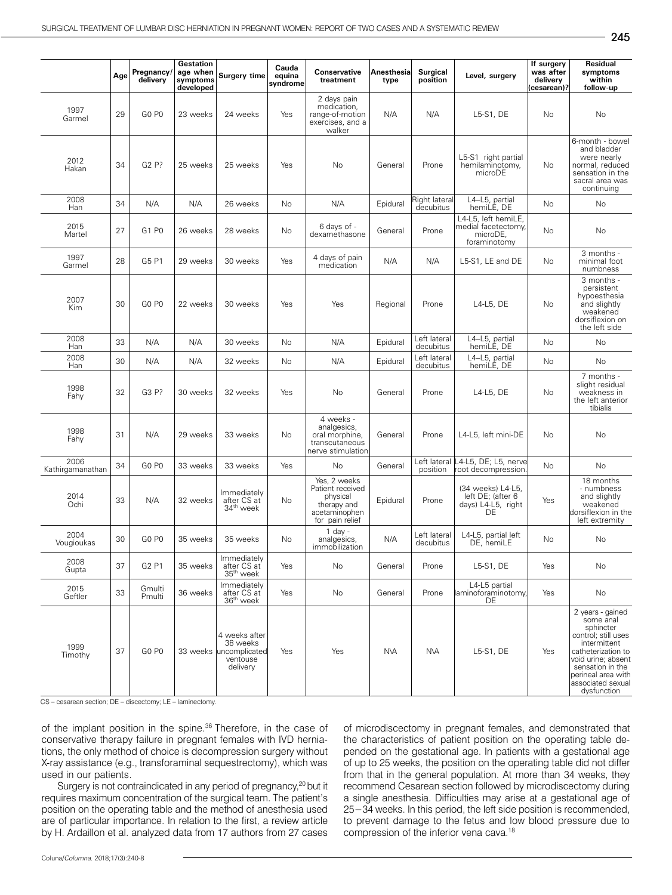|                          | Age | Pregnancy/<br>delivery | Gestation<br>age when<br>symptoms<br>developed | Surgery time                                                       | Cauda<br>equina<br>syndrome | <b>Conservative</b><br>treatment                                                                | Anesthesia<br>type | <b>Surgical</b><br>position | Level, surgery                                                         | If surgery<br>was after<br>delivery<br>(cesarean)? | Residual<br>symptoms<br>within<br>follow-up                                                                                                                                                                 |
|--------------------------|-----|------------------------|------------------------------------------------|--------------------------------------------------------------------|-----------------------------|-------------------------------------------------------------------------------------------------|--------------------|-----------------------------|------------------------------------------------------------------------|----------------------------------------------------|-------------------------------------------------------------------------------------------------------------------------------------------------------------------------------------------------------------|
| 1997<br>Garmel           | 29  | GO <sub>PO</sub>       | 23 weeks                                       | 24 weeks                                                           | Yes                         | 2 days pain<br>medication,<br>range-of-motion<br>exercises, and a<br>walker                     | N/A                | N/A                         | L5-S1, DE                                                              | No                                                 | No                                                                                                                                                                                                          |
| 2012<br>Hakan            | 34  | G2 P?                  | 25 weeks                                       | 25 weeks                                                           | Yes                         | No                                                                                              | General            | Prone                       | L5-S1 right partial<br>hemilaminotomy,<br>microDE                      | No                                                 | 6-month - bowel<br>and bladder<br>were nearly<br>normal, reduced<br>sensation in the<br>sacral area was<br>continuing                                                                                       |
| 2008<br>Han              | 34  | N/A                    | N/A                                            | 26 weeks                                                           | No.                         | N/A                                                                                             | Epidural           | Right lateral<br>decubitus  | L4-L5, partial<br>hemiLE, DE                                           | <b>No</b>                                          | No                                                                                                                                                                                                          |
| 2015<br>Martel           | 27  | G1 P0                  | 26 weeks                                       | 28 weeks                                                           | No                          | 6 days of -<br>dexamethasone                                                                    | General            | Prone                       | L4-L5, left hemiLE,<br>medial facetectomy,<br>microDE,<br>foraminotomy | No                                                 | No                                                                                                                                                                                                          |
| 1997<br>Garmel           | 28  | G5 P1                  | 29 weeks                                       | 30 weeks                                                           | Yes                         | 4 days of pain<br>medication                                                                    | N/A                | N/A                         | L5-S1, LE and DE                                                       | No                                                 | 3 months -<br>minimal foot<br>numbness                                                                                                                                                                      |
| 2007<br>Kim              | 30  | GO <sub>PO</sub>       | 22 weeks                                       | 30 weeks                                                           | Yes                         | Yes                                                                                             | Regional           | Prone                       | L4-L5, DE                                                              | No                                                 | 3 months -<br>persistent<br>hypoesthesia<br>and slightly<br>weakened<br>dorsiflexion on<br>the left side                                                                                                    |
| 2008<br>Han              | 33  | N/A                    | N/A                                            | 30 weeks                                                           | No                          | N/A                                                                                             | Epidural           | Left lateral<br>decubitus   | L4-L5, partial<br>hemiLE, DE                                           | No                                                 | No                                                                                                                                                                                                          |
| 2008<br>Han              | 30  | N/A                    | N/A                                            | 32 weeks                                                           | No                          | N/A                                                                                             | Epidural           | Left lateral<br>decubitus   | L4-L5, partial<br>hemiLE, DE                                           | No                                                 | No                                                                                                                                                                                                          |
| 1998<br>Fahy             | 32  | G3 P?                  | 30 weeks                                       | 32 weeks                                                           | Yes                         | No                                                                                              | General            | Prone                       | L4-L5, DE                                                              | <b>No</b>                                          | 7 months -<br>slight residual<br>weakness in<br>the left anterior<br>tibialis                                                                                                                               |
| 1998<br>Fahy             | 31  | N/A                    | 29 weeks                                       | 33 weeks                                                           | No                          | 4 weeks -<br>analgesics,<br>oral morphine,<br>transcutaneous<br>nerve stimulation               | General            | Prone                       | L4-L5, left mini-DE                                                    | No                                                 | <b>No</b>                                                                                                                                                                                                   |
| 2006<br>Kathirgamanathan | 34  | GO PO                  | 33 weeks                                       | 33 weeks                                                           | Yes                         | No                                                                                              | General            | Left lateral<br>position    | L4-L5, DE; L5, nerve<br>root decompression.                            | No                                                 | No                                                                                                                                                                                                          |
| 2014<br>Ochi             | 33  | N/A                    | 32 weeks                                       | Immediately<br>after CS at<br>34 <sup>th</sup> week                | No.                         | Yes, 2 weeks<br>Patient received<br>physical<br>therapy and<br>acetaminophen<br>for pain relief | Epidural           | Prone                       | (34 weeks) L4-L5,<br>left DE; (after 6<br>days) L4-L5, right<br>DE     | Yes                                                | 18 months<br>- numbness<br>and slightly<br>weakened<br>dorsiflexion in the<br>left extremity                                                                                                                |
| 2004<br>Vougioukas       | 30  | GO <sub>PO</sub>       | 35 weeks                                       | 35 weeks                                                           | <b>No</b>                   | $1$ day -<br>analgesics,<br>immobilization                                                      | N/A                | Left lateral<br>decubitus   | L4-L5, partial left<br>DE, hemiLE                                      | No                                                 | No                                                                                                                                                                                                          |
| 2008<br>Gupta            | 37  | G2 P1                  | 35 weeks                                       | Immediately<br>after CS at<br>35 <sup>th</sup> week                | Yes                         | No                                                                                              | General            | Prone                       | L5-S1, DE                                                              | Yes                                                | No                                                                                                                                                                                                          |
| 2015<br>Geftler          | 33  | Gmulti<br>Pmulti       | 36 weeks                                       | Immediately<br>after CS at<br>36 <sup>th</sup> week                | Yes                         | No                                                                                              | General            | Prone                       | L4-L5 partial<br>laminoforaminotomy.<br>DE                             | Yes                                                | No                                                                                                                                                                                                          |
| 1999<br>Timothy          | 37  | GO PO                  | 33 weeks                                       | 4 weeks after<br>38 weeks<br>uncomplicated<br>ventouse<br>delivery | Yes                         | Yes                                                                                             | <b>NVA</b>         | <b>NVA</b>                  | L5-S1, DE                                                              | Yes                                                | 2 years - gained<br>some anal<br>sphincter<br>control; still uses<br>intermittent<br>catheterization to<br>void urine; absent<br>sensation in the<br>perineal area with<br>associated sexual<br>dysfunction |

CS – cesarean section; DE – discectomy; LE – laminectomy.

of the implant position in the spine.<sup>36</sup> Therefore, in the case of conservative therapy failure in pregnant females with IVD herniations, the only method of choice is decompression surgery without X-ray assistance (e.g., transforaminal sequestrectomy), which was used in our patients.

Surgery is not contraindicated in any period of pregnancy,<sup>20</sup> but it requires maximum concentration of the surgical team. The patient's position on the operating table and the method of anesthesia used are of particular importance. In relation to the first, a review article by H. Ardaillon et al. analyzed data from 17 authors from 27 cases of microdiscectomy in pregnant females, and demonstrated that the characteristics of patient position on the operating table depended on the gestational age. In patients with a gestational age of up to 25 weeks, the position on the operating table did not differ from that in the general population. At more than 34 weeks, they recommend Cesarean section followed by microdiscectomy during a single anesthesia. Difficulties may arise at a gestational age of 25−34 weeks. In this period, the left side position is recommended, to prevent damage to the fetus and low blood pressure due to compression of the inferior vena cava.18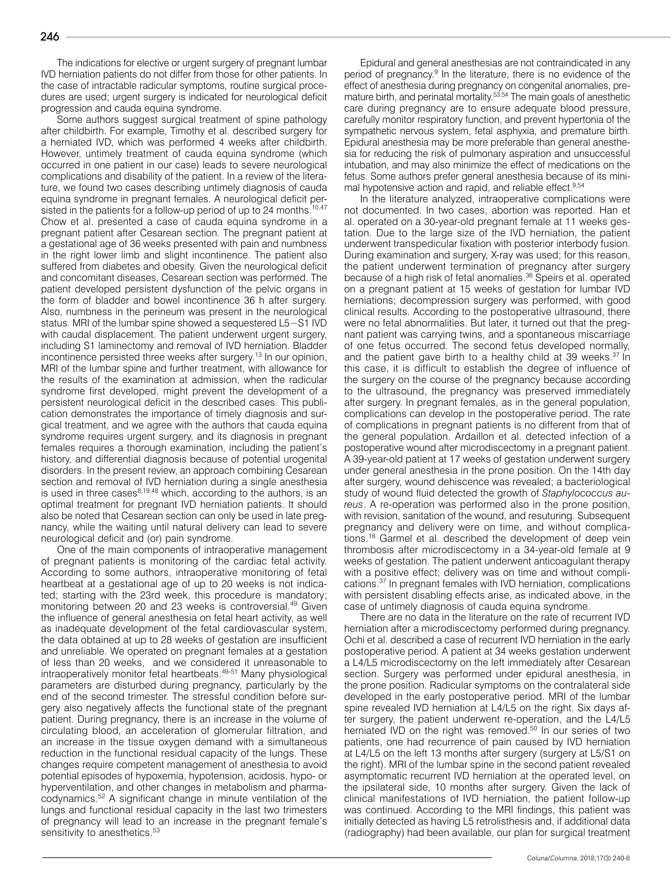The indications for elective or urgent surgery of pregnant lumbar IVD herniation patients do not differ from those for other patients. In the case of intractable radicular symptoms, routine surgical procedures are used; urgent surgery is indicated for neurological deficit progression and cauda equina syndrome.

Some authors suggest surgical treatment of spine pathology after childbirth. For example, Timothy et al. described surgery for a herniated IVD, which was performed 4 weeks after childbirth. However, untimely treatment of cauda equina syndrome (which occurred in one patient in our case) leads to severe neurological complications and disability of the patient. In a review of the literature, we found two cases describing untimely diagnosis of cauda equina syndrome in pregnant females. A neurological deficit persisted in the patients for a follow-up period of up to 24 months.<sup>10,47</sup> Chow et al. presented a case of cauda equina syndrome in a pregnant patient after Cesarean section. The pregnant patient at a gestational age of 36 weeks presented with pain and numbness in the right lower limb and slight incontinence. The patient also suffered from diabetes and obesity. Given the neurological deficit and concomitant diseases, Cesarean section was performed. The patient developed persistent dysfunction of the pelvic organs in the form of bladder and bowel incontinence 36 h after surgery. Also, numbness in the perineum was present in the neurological status. MRI of the lumbar spine showed a sequestered L5−S1 IVD with caudal displacement. The patient underwent urgent surgery, including S1 laminectomy and removal of IVD herniation. Bladder incontinence persisted three weeks after surgery.13 In our opinion, MRI of the lumbar spine and further treatment, with allowance for the results of the examination at admission, when the radicular syndrome first developed, might prevent the development of a persistent neurological deficit in the described cases. This publication demonstrates the importance of timely diagnosis and surgical treatment, and we agree with the authors that cauda equina syndrome requires urgent surgery, and its diagnosis in pregnant females requires a thorough examination, including the patient's history, and differential diagnosis because of potential urogenital disorders. In the present review, an approach combining Cesarean section and removal of IVD herniation during a single anesthesia is used in three cases $8,19,48$  which, according to the authors, is an optimal treatment for pregnant IVD herniation patients. It should also be noted that Cesarean section can only be used in late pregnancy, while the waiting until natural delivery can lead to severe neurological deficit and (or) pain syndrome.

One of the main components of intraoperative management of pregnant patients is monitoring of the cardiac fetal activity. According to some authors, intraoperative monitoring of fetal heartbeat at a gestational age of up to 20 weeks is not indicated; starting with the 23rd week, this procedure is mandatory; monitoring between 20 and 23 weeks is controversial.<sup>49</sup> Given the influence of general anesthesia on fetal heart activity, as well as inadequate development of the fetal cardiovascular system, the data obtained at up to 28 weeks of gestation are insufficient and unreliable. We operated on pregnant females at a gestation of less than 20 weeks, and we considered it unreasonable to intraoperatively monitor fetal heartbeats.<sup>49-51</sup> Many physiological parameters are disturbed during pregnancy, particularly by the end of the second trimester. The stressful condition before surgery also negatively affects the functional state of the pregnant patient. During pregnancy, there is an increase in the volume of circulating blood, an acceleration of glomerular filtration, and an increase in the tissue oxygen demand with a simultaneous reduction in the functional residual capacity of the lungs. These changes require competent management of anesthesia to avoid potential episodes of hypoxemia, hypotension, acidosis, hypo- or hyperventilation, and other changes in metabolism and pharmacodynamics.52 A significant change in minute ventilation of the lungs and functional residual capacity in the last two trimesters of pregnancy will lead to an increase in the pregnant female's sensitivity to anesthetics.<sup>53</sup>

Epidural and general anesthesias are not contraindicated in any period of pregnancy.<sup>9</sup> In the literature, there is no evidence of the effect of anesthesia during pregnancy on congenital anomalies, premature birth, and perinatal mortality.53,54 The main goals of anesthetic care during pregnancy are to ensure adequate blood pressure, carefully monitor respiratory function, and prevent hypertonia of the sympathetic nervous system, fetal asphyxia, and premature birth. Epidural anesthesia may be more preferable than general anesthesia for reducing the risk of pulmonary aspiration and unsuccessful intubation, and may also minimize the effect of medications on the fetus. Some authors prefer general anesthesia because of its minimal hypotensive action and rapid, and reliable effect.<sup>9,54</sup>

In the literature analyzed, intraoperative complications were not documented. In two cases, abortion was reported. Han et al. operated on a 30-year-old pregnant female at 11 weeks gestation. Due to the large size of the IVD herniation, the patient underwent transpedicular fixation with posterior interbody fusion. During examination and surgery, X-ray was used; for this reason, the patient underwent termination of pregnancy after surgery because of a high risk of fetal anomalies.<sup>36</sup> Speirs et al. operated on a pregnant patient at 15 weeks of gestation for lumbar IVD herniations; decompression surgery was performed, with good clinical results. According to the postoperative ultrasound, there were no fetal abnormalities. But later, it turned out that the pregnant patient was carrying twins, and a spontaneous miscarriage of one fetus occurred. The second fetus developed normally, and the patient gave birth to a healthy child at 39 weeks.<sup>37</sup> In this case, it is difficult to establish the degree of influence of the surgery on the course of the pregnancy because according to the ultrasound, the pregnancy was preserved immediately after surgery. In pregnant females, as in the general population, complications can develop in the postoperative period. The rate of complications in pregnant patients is no different from that of the general population. Ardaillon et al. detected infection of a postoperative wound after microdiscectomy in a pregnant patient. A 39-year-old patient at 17 weeks of gestation underwent surgery under general anesthesia in the prone position. On the 14th day after surgery, wound dehiscence was revealed; a bacteriological study of wound fluid detected the growth of *Staphylococcus aureus*. A re-operation was performed also in the prone position, with revision, sanitation of the wound, and resuturing. Subsequent pregnancy and delivery were on time, and without complications.<sup>18</sup> Garmel et al. described the development of deep vein thrombosis after microdiscectomy in a 34-year-old female at 9 weeks of gestation. The patient underwent anticoagulant therapy with a positive effect; delivery was on time and without complications.37 In pregnant females with IVD herniation, complications with persistent disabling effects arise, as indicated above, in the case of untimely diagnosis of cauda equina syndrome.

There are no data in the literature on the rate of recurrent IVD herniation after a microdiscectomy performed during pregnancy. Ochi et al. described a case of recurrent IVD herniation in the early postoperative period. A patient at 34 weeks gestation underwent a L4/L5 microdiscectomy on the left immediately after Cesarean section. Surgery was performed under epidural anesthesia, in the prone position. Radicular symptoms on the contralateral side developed in the early postoperative period. MRI of the lumbar spine revealed IVD herniation at L4/L5 on the right. Six days after surgery, the patient underwent re-operation, and the L4/L5 herniated IVD on the right was removed.<sup>50</sup> In our series of two patients, one had recurrence of pain caused by IVD herniation at L4/L5 on the left 13 months after surgery (surgery at L5/S1 on the right). MRI of the lumbar spine in the second patient revealed asymptomatic recurrent IVD herniation at the operated level, on the ipsilateral side, 10 months after surgery. Given the lack of clinical manifestations of IVD herniation, the patient follow-up was continued. According to the MRI findings, this patient was initially detected as having L5 retrolisthesis and, if additional data (radiography) had been available, our plan for surgical treatment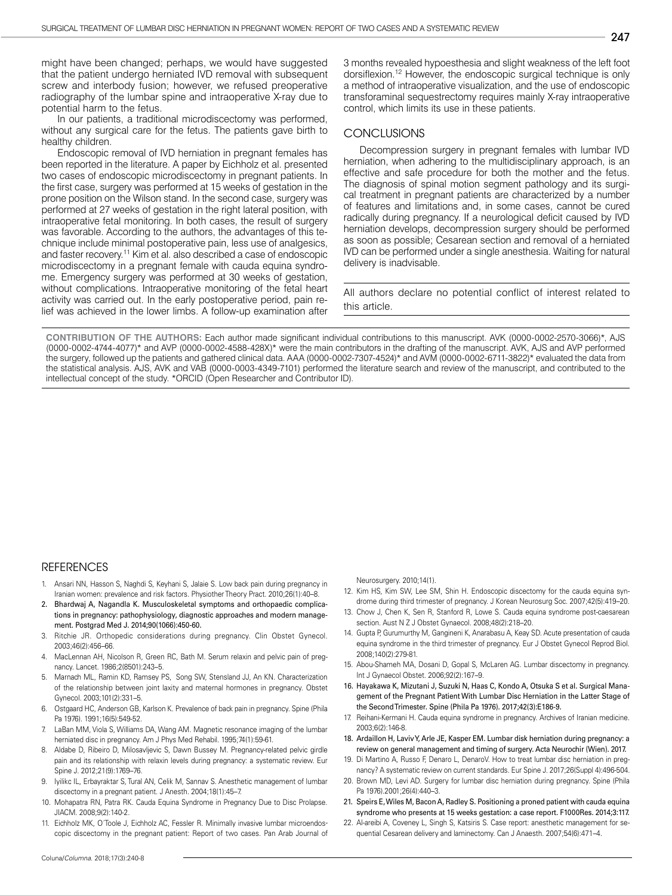might have been changed; perhaps, we would have suggested that the patient undergo herniated IVD removal with subsequent screw and interbody fusion; however, we refused preoperative radiography of the lumbar spine and intraoperative X-ray due to potential harm to the fetus.

In our patients, a traditional microdiscectomy was performed, without any surgical care for the fetus. The patients gave birth to healthy children.

Endoscopic removal of IVD herniation in pregnant females has been reported in the literature. A paper by Eichholz et al. presented two cases of endoscopic microdiscectomy in pregnant patients. In the first case, surgery was performed at 15 weeks of gestation in the prone position on the Wilson stand. In the second case, surgery was performed at 27 weeks of gestation in the right lateral position, with intraoperative fetal monitoring. In both cases, the result of surgery was favorable. According to the authors, the advantages of this technique include minimal postoperative pain, less use of analgesics, and faster recovery.11 Kim et al. also described a case of endoscopic microdiscectomy in a pregnant female with cauda equina syndrome. Emergency surgery was performed at 30 weeks of gestation, without complications. Intraoperative monitoring of the fetal heart activity was carried out. In the early postoperative period, pain relief was achieved in the lower limbs. A follow-up examination after 3 months revealed hypoesthesia and slight weakness of the left foot dorsiflexion.12 However, the endoscopic surgical technique is only a method of intraoperative visualization, and the use of endoscopic transforaminal sequestrectomy requires mainly X-ray intraoperative control, which limits its use in these patients.

## **CONCLUSIONS**

Decompression surgery in pregnant females with lumbar IVD herniation, when adhering to the multidisciplinary approach, is an effective and safe procedure for both the mother and the fetus. The diagnosis of spinal motion segment pathology and its surgical treatment in pregnant patients are characterized by a number of features and limitations and, in some cases, cannot be cured radically during pregnancy. If a neurological deficit caused by IVD herniation develops, decompression surgery should be performed as soon as possible; Cesarean section and removal of a herniated IVD can be performed under a single anesthesia. Waiting for natural delivery is inadvisable.

All authors declare no potential conflict of interest related to this article.

**CONTRIBUTION OF THE AUTHORS:** Each author made significant individual contributions to this manuscript. AVK (0000-0002-2570-3066)\*, AJS (0000-0002-4744-4077)\* and AVP (0000-0002-4588-428X)\* were the main contributors in the drafting of the manuscript. AVK, AJS and AVP performed the surgery, followed up the patients and gathered clinical data. AAA (0000-0002-7307-4524)\* and AVM (0000-0002-6711-3822)\* evaluated the data from the statistical analysis. AJS, AVK and VAB (0000-0003-4349-7101) performed the literature search and review of the manuscript, and contributed to the intellectual concept of the study. \*ORCID (Open Researcher and Contributor ID).

#### **REFERENCES**

- Ansari NN, Hasson S, Naghdi S, Keyhani S, Jalaie S. Low back pain during pregnancy in Iranian women: prevalence and risk factors. Physiother Theory Pract. 2010;26(1):40–8.
- 2. Bhardwaj A, Nagandla K. Musculoskeletal symptoms and orthopaedic complications in pregnancy: pathophysiology, diagnostic approaches and modern management. Postgrad Med J. 2014;90(1066):450-60.
- 3. Ritchie JR. Orthopedic considerations during pregnancy. Clin Obstet Gynecol. 2003;46(2):456–66.
- 4. MacLennan AH, Nicolson R, Green RC, Bath M. Serum relaxin and pelvic pain of pregnancy. Lancet. 1986;2(8501):243–5.
- 5. Marnach ML, Ramin KD, Ramsey PS, Song SW, Stensland JJ, An KN. Characterization of the relationship between joint laxity and maternal hormones in pregnancy. Obstet Gynecol. 2003;101(2):331–5.
- 6. Ostgaard HC, Anderson GB, Karlson K. Prevalence of back pain in pregnancy. Spine (Phila Pa 1976). 1991:16(5):549-52.
- 7. LaBan MM, Viola S, Williams DA, Wang AM. Magnetic resonance imaging of the lumbar herniated disc in pregnancy. Am J Phys Med Rehabil. 1995;74(1):59-61.
- 8. Aldabe D, Ribeiro D, Milosavljevic S, Dawn Bussey M. Pregnancy-related pelvic girdle pain and its relationship with relaxin levels during pregnancy: a systematic review. Eur Spine J. 2012;21(9):1769–76.
- Iyilikc IL, Erbayraktar S, Tural AN, Celik M, Sannav S. Anesthetic management of lumbar discectomy in a pregnant patient. J Anesth. 2004;18(1):45–7.
- 10. Mohapatra RN, Patra RK. Cauda Equina Syndrome in Pregnancy Due to Disc Prolapse. JIACM. 2008;9(2):140-2.
- 11. Eichholz MK, O´Toole J, Eichholz AC, Fessler R. Minimally invasive lumbar microendoscopic discectomy in the pregnant patient: Report of two cases. Pan Arab Journal of

Neurosurgery. 2010;14(1).

- 12. Kim HS, Kim SW, Lee SM, Shin H. Endoscopic discectomy for the cauda equina syndrome during third trimester of pregnancy. J Korean Neurosurg Soc. 2007;42(5):419–20.
- 13. Chow J, Chen K, Sen R, Stanford R, Lowe S. Cauda equina syndrome post-caesarean section. Aust N Z J Obstet Gynaecol. 2008;48(2):218–20.
- 14. Gupta P, Gurumurthy M, Gangineni K, Anarabasu A, Keay SD. Acute presentation of cauda equina syndrome in the third trimester of pregnancy. Eur J Obstet Gynecol Reprod Biol. 2008;140(2):279-81.
- 15. Abou-Shameh MA, Dosani D, Gopal S, McLaren AG. Lumbar discectomy in pregnancy. Int J Gynaecol Obstet. 2006;92(2):167–9.
- 16. Hayakawa K, Mizutani J, Suzuki N, Haas C, Kondo A, Otsuka S et al. Surgical Management of the Pregnant Patient With Lumbar Disc Herniation in the Latter Stage of the Second Trimester. Spine (Phila Pa 1976). 2017;42(3):E186-9.
- 17. Reihani-Kermani H. Cauda equina syndrome in pregnancy. Archives of Iranian medicine. 2003;6(2):146-8.
- 18. Ardaillon H, Laviv Y, Arle JE, Kasper EM. Lumbar disk herniation during pregnancy: a review on general management and timing of surgery. Acta Neurochir (Wien). 2017.
- 19. Di Martino A, Russo F, Denaro L, DenaroV. How to treat lumbar disc herniation in pregnancy? A systematic review on current standards. Eur Spine J. 2017;26(Suppl 4):496-504.
- 20. Brown MD, Levi AD. Surgery for lumbar disc herniation during pregnancy. Spine (Phila Pa 1976).2001;26(4):440–3.
- 21. Speirs E, Wiles M, Bacon A, Radley S. Positioning a proned patient with cauda equina syndrome who presents at 15 weeks gestation: a case report. F1000Res. 2014;3:117.
- 22. Al-areibi A, Coveney L, Singh S, Katsiris S. Case report: anesthetic management for sequential Cesarean delivery and laminectomy. Can J Anaesth. 2007;54(6):471–4.